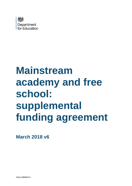

# **Mainstream academy and free school: supplemental funding agreement**

**March 2018 v6**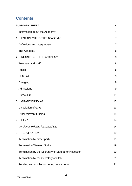# **Contents**

| <b>SUMMARY SHEET</b>                                   | $\overline{4}$ |
|--------------------------------------------------------|----------------|
| Information about the Academy:                         | 4              |
| <b>ESTABLISHING THE ACADEMY</b><br>1.                  | 7              |
| Definitions and interpretation                         | 7              |
| The Academy                                            | 8              |
| RUNNING OF THE ACADEMY<br>2.                           | 8              |
| <b>Teachers and staff</b>                              | 8              |
| <b>Pupils</b>                                          | 8              |
| <b>SEN unit</b>                                        | $9$            |
| Charging                                               | 9              |
| Admissions                                             | 9              |
| Curriculum                                             | 11             |
| <b>GRANT FUNDING</b><br>3.                             | 13             |
| <b>Calculation of GAG</b>                              | 13             |
| Other relevant funding                                 | 14             |
| <b>LAND</b><br>4.                                      | 14             |
| Version 2: existing leasehold site                     | 14             |
| <b>TERMINATION</b><br>5.                               | 19             |
| Termination by either party                            | 19             |
| <b>Termination Warning Notice</b>                      | 19             |
| Termination by the Secretary of State after inspection | 20             |
| Termination by the Secretary of State                  | 21             |
| Funding and admission during notice period             | 21             |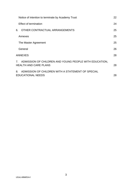| Notice of intention to terminate by Academy Trust                                         | 22 |
|-------------------------------------------------------------------------------------------|----|
| <b>Effect of termination</b>                                                              | 24 |
| OTHER CONTRACTUAL ARRANGEMENTS<br>6.                                                      | 25 |
| Annexes                                                                                   | 25 |
| The Master Agreement                                                                      | 25 |
| General                                                                                   | 26 |
| <b>ANNEXES</b>                                                                            | 28 |
| 7. ADMISSION OF CHILDREN AND YOUNG PEOPLE WITH EDUCATION,<br><b>HEALTH AND CARE PLANS</b> | 28 |
| ADMISSION OF CHILDREN WITH A STATEMENT OF SPECIAL<br>8.<br><b>EDUCATIONAL NEEDS</b>       | 28 |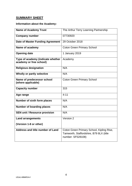# <span id="page-3-0"></span>**SUMMARY SHEET**

# <span id="page-3-1"></span>**Information about the Academy:**

| <b>Name of Academy Trust</b>                                 | The Arthur Terry Learning Partnership                                                                     |
|--------------------------------------------------------------|-----------------------------------------------------------------------------------------------------------|
| <b>Company number</b>                                        | 07730920                                                                                                  |
| Date of Master Funding Agreement                             | 29 October 2018                                                                                           |
| Name of academy                                              | <b>Coton Green Primary School</b>                                                                         |
| <b>Opening date</b>                                          | 1 January 2019                                                                                            |
| Type of academy (indicate whether<br>academy or free school) | Academy                                                                                                   |
| <b>Religious designation</b>                                 | N/A                                                                                                       |
| Wholly or partly selective                                   | N/A                                                                                                       |
| Name of predecessor school<br>(where applicable)             | <b>Coton Green Primary School</b>                                                                         |
| <b>Capacity number</b>                                       | 315                                                                                                       |
| Age range                                                    | $4 - 11$                                                                                                  |
| Number of sixth form places                                  | N/A                                                                                                       |
| <b>Number of boarding places</b>                             | N/A                                                                                                       |
| <b>SEN unit / Resource provision</b>                         | N/A                                                                                                       |
| <b>Land arrangements</b>                                     | Version 2                                                                                                 |
| (Version 1-8 or other)                                       |                                                                                                           |
| Address and title number of Land                             | Coton Green Primary School, Kipling Rise,<br>Tamworth, Staffordshire, B79 8LX (title<br>number: SF528108) |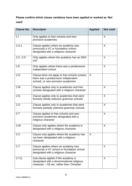# **Please confirm which clause variations have been applied or marked as 'Not used'**

| <b>Clause No.</b> | <b>Descriptor</b>                                                                                                                 | <b>Applied</b> | <b>Not used</b> |
|-------------------|-----------------------------------------------------------------------------------------------------------------------------------|----------------|-----------------|
| 1.1               | Only applies to free schools and new<br>provision academies                                                                       |                | X               |
| 2.A.1             | Clause applies where an academy was<br>previously a VC or foundation school<br>designated with a religious character              |                | X               |
| 2.C, 2.D          | Only applies where the academy has an SEN<br>unit                                                                                 |                | X               |
| 2.E               | Only applies where there was a predecessor<br>independent school                                                                  |                | X               |
| 2.G               | Clause does not apply to free schools (unless<br>there was a predecessor independent<br>school), or new provision academies       | X              |                 |
| 2.M               | Clause applies only to academies and free<br>schools designated with a religious character                                        |                | X               |
| 2.N               | Clause applies only to academies that were<br>formerly wholly selective grammar schools                                           |                | $\sf X$         |
| 2.0               | Clause applies only to academies that were<br>formerly partially selective grammar schools                                        |                | X               |
| 2.7               | Clause applies to free schools and new<br>provision academies designated with a<br>religious character                            |                | X               |
| 2.W               | Clause only applies where the academy is<br>designated with a religious character                                                 |                | X               |
| 2.X               | Clause only applies where the academy has<br>not been designated with a religious<br>character                                    | X              |                 |
| 2.Y               | Clause applies where an academy was<br>previously a VC school or foundation school<br>designated with a religious character       |                | X               |
| 2.Yc)             | Sub-clause applies if the academy is<br>designated with a denominational religious<br>character - CE etc. rather than 'Christian' |                | X               |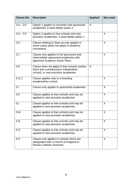| <b>Clause No.</b> | <b>Descriptor</b>                                                                                                           | <b>Applied</b> | <b>Not used</b> |
|-------------------|-----------------------------------------------------------------------------------------------------------------------------|----------------|-----------------|
| $3.A - 3.F$       | Option 1 applies to converter and sponsored<br>academies: if used delete option 2                                           | X              |                 |
| $3.A - 3.F$       | Option 2 applies to free schools and new<br>provision academies: if used delete option 1                                    |                | X               |
| 3.H               | Clause relating to Start-up only applies in<br>some cases (does not apply to academy<br>converters)                         |                | X               |
| 3. J              | Clause only applies to full sponsored and<br>intermediate sponsored academies with<br>approved Academy Action Plans         |                | X               |
| 3.K               | Clause does not apply to free schools (unless<br>there was a predecessor independent<br>school), or new provision academies | X              |                 |
| 5.G.1             | Clause applies only to a boarding<br>academy/free school.                                                                   |                | X               |
| 5.1               | Clause only applies to sponsored academies                                                                                  |                | X               |
| 5.K               | Clause applies to free schools and may be<br>applied to new provision academies                                             |                | X               |
| 5.L               | Clause applies to free schools and may be<br>applied to new provision academies                                             |                | X               |
| 5.M               | Clause applies to free schools and may be<br>applied to new provision academies                                             |                | X               |
| 5.N               | Clause applies to free schools and may be<br>applied to new provision academies                                             |                | X               |
| 5.0               | Clause applies to free schools and may be<br>applied to new provision academies                                             |                | X               |
| 6.H               | Clause only applies to schools which are<br>designated with a Church of England or<br>Roman Catholic character              |                | X               |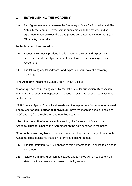# <span id="page-6-0"></span>**1. ESTABLISHING THE ACADEMY**

1.A This Agreement made between the Secretary of State for Education and The Arthur Terry Learning Partnership is supplemental to the master funding agreement made between the same parties and dated 29 October 2018 (the "**Master Agreement**").

#### <span id="page-6-1"></span>**Definitions and interpretation**

- 1.B Except as expressly provided in this Agreement words and expressions defined in the Master Agreement will have those same meanings in this Agreement.
- 1.C The following capitalised words and expressions will have the following meanings:

"The **Academy**" means the Coton Green Primary School.

**"Coasting"** has the meaning given by regulations under subsection (3) of section 60B of the Education and Inspections Act 2006 in relation to a school to which that section applies.

"**SEN**" means Special Educational Needs and the expressions "**special educational needs**" and "**special educational provision**" have the meaning set out in sections 20(1) and 21(2) of the Children and Families Act 2014.

"**Termination Notice**" means a notice sent by the Secretary of State to the Academy Trust, terminating this Agreement on the date specified in the notice.

"**Termination Warning Notice**" means a notice sent by the Secretary of State to the Academy Trust, stating his intention to terminate this Agreement.

- 1.D The Interpretation Act 1978 applies to this Agreement as it applies to an Act of Parliament.
- 1.E Reference in this Agreement to clauses and annexes will, unless otherwise stated, be to clauses and annexes to this Agreement.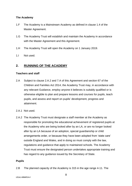#### <span id="page-7-0"></span>**The Academy**

- 1.F The Academy is a Mainstream Academy as defined in clause 1.4 of the Master Agreement.
- 1.G The Academy Trust will establish and maintain the Academy in accordance with the Master Agreement and this Agreement.
- 1.H The Academy Trust will open the Academy on 1 January 2019.
- 1.I Not used.

# <span id="page-7-1"></span>**2. RUNNING OF THE ACADEMY**

#### <span id="page-7-2"></span>**Teachers and staff**

- 2.A Subject to clause 2.A.2 and 7.A of this Agreement and section 67 of the Children and Families Act 2014, the Academy Trust may, in accordance with any relevant Guidance, employ anyone it believes is suitably qualified or is otherwise eligible to plan and prepare lessons and courses for pupils, teach pupils, and assess and report on pupils' development, progress and attainment.
- 2.A.1 Not used.
- 2.A.2 The Academy Trust must designate a staff member at the Academy as responsible for promoting the educational achievement of registered pupils at the Academy who are being looked after by an LA, or are no longer looked after by an LA because of an adoption, special guardianship or child arrangements order, or because they have been adopted from 'state care' outside England and Wales, and in doing so must comply with the law, regulations and guidance that apply to maintained schools. The Academy Trust must ensure the designated person undertakes appropriate training and has regard to any guidance issued by the Secretary of State.

#### <span id="page-7-3"></span>**Pupils**

2.B The planned capacity of the Academy is 315 in the age range 4-11. The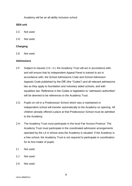Academy will be an all ability inclusive school.

#### <span id="page-8-0"></span>**SEN unit**

2.C Not used.

2.D Not used.

#### <span id="page-8-1"></span>**Charging**

2.E Not used.

#### <span id="page-8-2"></span>**Admissions**

- 2.F Subject to clauses 2.K– 2.L the Academy Trust will act in accordance with, and will ensure that its Independent Appeal Panel is trained to act in accordance with, the School Admissions Code and School Admission Appeals Code published by the DfE (the "Codes") and all relevant admissions law as they apply to foundation and voluntary aided schools, and with equalities law. Reference in the Codes or legislation to "admission authorities" will be deemed to be references to the Academy Trust.
- 2.G Pupils on roll in a Predecessor School which was a maintained or independent school will transfer automatically to the Academy on opening. All children already offered a place at that Predecessor School must be admitted to the Academy.
- 2.H The Academy Trust must participate in the local Fair Access Protocol. The Academy Trust must participate in the coordinated admission arrangements operated by the LA in whose area the Academy is situated. If the Academy is a free school, the Academy Trust is not required to participate in coordination for its first intake of pupils.
- 2.I Not used.
- 2.J Not used.
- 2.K Not used.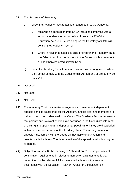- 2.L The Secretary of State may:
	- a) direct the Academy Trust to admit a named pupil to the Academy:
		- i. following an application from an LA including complying with a school attendance order as defined in section 437 of the Education Act 1996. Before doing so the Secretary of State will consult the Academy Trust; or
		- ii. where in relation to a specific child or children the Academy Trust has failed to act in accordance with the Codes or this Agreement or has otherwise acted unlawfully; or
	- b) direct the Academy Trust to amend its admission arrangements where they do not comply with the Codes or this Agreement, or are otherwise unlawful.
- 2.M Not used.
- 2.N Not used.
- 2.O Not used.
- 2.P The Academy Trust must make arrangements to ensure an independent appeals panel is established for the Academy and its clerk and members are trained to act in accordance with the Codes. The Academy Trust must ensure that parents and 'relevant children' (as described in the Codes) are informed of their right to appeal to an Independent Appeal Panel if they are dissatisfied with an admission decision of the Academy Trust. The arrangements for appeals must comply with the Codes as they apply to foundation and voluntary aided schools. The determination of the appeal panel is binding on all parties.
- 2.Q Subject to clause 2.R, the meaning of "**relevant area**" for the purposes of consultation requirements in relation to admission arrangements is that determined by the relevant LA for maintained schools in the area in accordance with the Education (Relevant Areas for Consultation on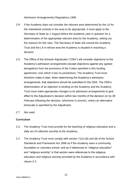Admission Arrangements) Regulations 1999.

- 2.R If the Academy does not consider the relevant area determined by the LA for the maintained schools in the area to be appropriate, it must apply to the Secretary of State by 1 August before the academic year in question for a determination of the appropriate relevant area for the Academy, setting out the reasons for this view. The Secretary of State will consult the Academy Trust and the LA in whose area the Academy is situated in reaching a decision.
- 2.S The Office of the Schools Adjudicator ("OSA") will consider objections to the Academy's admission arrangements (except objections against any agreed derogations from the provisions of the Codes specified in this funding agreement, over which it has no jurisdiction). The Academy Trust must therefore make it clear, when determining the Academy's admission arrangements, that objections should be submitted to the OSA. The OSA's determination of an objection is binding on the Academy and the Academy Trust must make appropriate changes to its admission arrangements to give effect to the Adjudicator's decision within two months of the decision (or by 28 February following the decision, whichever is sooner), unless an alternative timescale is specified by the Adjudicator.
- 2.T Not used.

#### <span id="page-10-0"></span>**Curriculum**

- 2.U The Academy Trust must provide for the teaching of religious education and a daily act of collective worship at the Academy.
- 2.V The Academy Trust must comply with section 71(1)-(6) and (8) of the School Standards and Framework Act 1998 as if the Academy were a community, foundation or voluntary school, and as if references to "religious education" and "religious worship" in that section were references to the religious education and religious worship provided by the Academy in accordance with clause 2.X.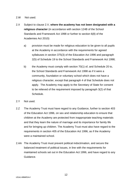- 2.W Not used.
- 2.X Subject to clause 2.V, **where the academy has not been designated with a religious character** (in accordance with section 124B of the School Standards and Framework Act 1998 or further to section 6(8) of the Academies Act 2010):
	- a) provision must be made for religious education to be given to all pupils at the Academy in accordance with the requirements for agreed syllabuses in section 375(3) of the Education Act 1996 and paragraph 2(5) of Schedule 19 to the School Standards and Framework Act 1998;
	- b) the Academy must comply with section 70(1) of, and Schedule 20 to, the School Standards and Framework Act 1998 as if it were a community, foundation or voluntary school which does not have a religious character, except that paragraph 4 of that Schedule does not apply. The Academy may apply to the Secretary of State for consent to be relieved of the requirement imposed by paragraph 3(2) of that Schedule.
- 2.Y Not used.
- 2.Z The Academy Trust must have regard to any Guidance, further to section 403 of the Education Act 1996, on sex and relationship education to ensure that children at the Academy are protected from inappropriate teaching materials and that they learn the nature of marriage and its importance for family life and for bringing up children. The Academy Trust must also have regard to the requirements in section 405 of the Education Act 1996, as if the Academy were a maintained school.
- 2.AA The Academy Trust must prevent political indoctrination, and secure the balanced treatment of political issues, in line with the requirements for maintained schools set out in the Education Act 1996, and have regard to any Guidance.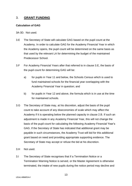## <span id="page-12-0"></span>3. **GRANT FUNDING**

#### <span id="page-12-1"></span>**Calculation of GAG**

3A-3D. Not used.

- 3.E The Secretary of State will calculate GAG based on the pupil count at the Academy. In order to calculate GAG for the Academy Financial Year in which the Academy opens, the pupil count will be determined on the same basis as that used by the relevant LA for determining the budget of the maintained Predecessor School.
- 3.F For Academy Financial Years after that referred to in clause 3.E, the basis of the pupil count for determining GAG will be:
	- a) for pupils in Year 11 and below, the Schools Census which is used to fund maintained schools for the financial year overlapping with the Academy Financial Year in question; and
	- b) for pupils in Year 12 and above, the formula which is in use at the time for maintained schools.
- 3.G The Secretary of State may, at his discretion, adjust the basis of the pupil count to take account of any diseconomies of scale which may affect the Academy if it is operating below the planned capacity in clause 2.B. If such an adjustment is made in any Academy Financial Year, this will not change the basis of the pupil count for calculating the following Academy Financial Year's GAG. If the Secretary of State has indicated that additional grant may be payable in such circumstances, the Academy Trust will bid for this additional grant based on need and providing appropriate supporting evidence. The Secretary of State may accept or refuse the bid at his discretion.
- 3.H Not used.
- 3.I The Secretary of State recognises that if a Termination Notice or a Termination Warning Notice is served, or the Master Agreement is otherwise terminated, the intake of new pupils during the notice period may decline and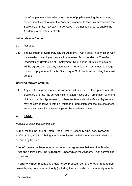therefore payments based on the number of pupils attending the Academy may be insufficient to meet the Academy's needs. In these circumstances the Secretary of State may pay a larger GAG in the notice period, to enable the Academy to operate effectively.

#### <span id="page-13-0"></span>**Other relevant funding**

- 3.J Not used.
- 3.K The Secretary of State may pay the Academy Trust's costs in connection with the transfer of employees from a Predecessor School under the Transfer of Undertakings (Protection of Employment) Regulations 2006. Such payment will be agreed on a case-by-case basis. The Academy Trust must not budget for such a payment unless the Secretary of State confirms in writing that it will be paid.

## **Carrying forward of funds**

3.L Any additional grant made in accordance with clause 3.I, for a period after the Secretary of State has served a Termination Notice or a Termination Warning Notice under this Agreement, or otherwise terminates the Master Agreement, may be carried forward without limitation or deduction until the circumstances set out in clause 3.I cease to apply or the Academy closes.

# <span id="page-13-1"></span>4. **LAND**

#### <span id="page-13-2"></span>*Version 2: existing leasehold site*

"**Land**" means the land at Coton Green Primary School, Kipling Rise, Tamworth, Staffordshire, B79 8LX, being the land registered with title number SF528108 and demised by the Lease.

"**Lease**" means the lease or other occupational agreement between the Academy Trust and a third party (the "**Landlord**") under which the Academy Trust derives title to the Land.

"**Property Notice**" means any order, notice, proposal, demand or other requirement issued by any competent authority (including the Landlord) which materially affects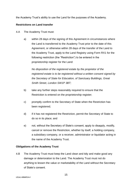the Academy Trust's ability to use the Land for the purposes of the Academy.

#### **Restrictions on Land transfer**

- 4.A The Academy Trust must:
	- a) within 28 days of the signing of this Agreement in circumstances where the Land is transferred to the Academy Trust prior to the date of this Agreement, or otherwise within 28 days of the transfer of the Land to the Academy Trust, apply to the Land Registry using Form RX1 for the following restriction (the "Restriction") to be entered in the proprietorship register for the Land:

*No disposition of the registered estate by the proprietor of the registered estate is to be registered without a written consent signed by the Secretary of State for Education, of Sanctuary Buildings, Great Smith Street, London SW1P 3BT;*

- b) take any further steps reasonably required to ensure that the Restriction is entered on the proprietorship register;
- c) promptly confirm to the Secretary of State when the Restriction has been registered;
- d) if it has not registered the Restriction, permit the Secretary of State to do so in its place; and
- e) not, without the Secretary of State's consent, apply to disapply, modify, cancel or remove the Restriction, whether by itself, a holding company, a subsidiary company, or a receiver, administrator or liquidator acting in the name of the Academy Trust.

#### **Obligations of the Academy Trust**

4.B The Academy Trust must keep the Land clean and tidy and make good any damage or deterioration to the Land. The Academy Trust must not do anything to lessen the value or marketability of the Land without the Secretary of State's consent.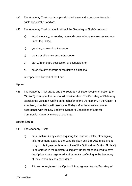- 4.C The Academy Trust must comply with the Lease and promptly enforce its rights against the Landlord.
- 4.D The Academy Trust must not, without the Secretary of State's consent:
	- a) terminate, vary, surrender, renew, dispose of or agree any revised rent under the Lease;
	- b) grant any consent or licence; or
	- c) create or allow any encumbrance; or
	- d) part with or share possession or occupation; or
	- e) enter into any onerous or restrictive obligations,

in respect of all or part of the Land.

#### **Option**

4.E The Academy Trust grants and the Secretary of State accepts an option (the "**Option**") to acquire the Land at nil consideration. The Secretary of State may exercise the Option in writing on termination of this Agreement. If the Option is exercised, completion will take place 28 days after the exercise date in accordance with the Law Society's Standard Conditions of Sale for Commercial Property in force at that date.

#### **Option Notice**

- 4.F The Academy Trust:
	- a) must, within 14 days after acquiring the Land or, if later, after signing this Agreement, apply to the Land Registry on Form AN1 (including a copy of this Agreement) for a notice of the Option (the "**Option Notice**") to be entered in the register, taking any further steps required to have the Option Notice registered and promptly confirming to the Secretary of State when this has been done;
	- b) if it has not registered the Option Notice, agrees that the Secretary of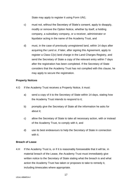State may apply to register it using Form UN1;

- c) must not, without the Secretary of State's consent, apply to disapply, modify or remove the Option Notice, whether by itself, a holding company, a subsidiary company, or a receiver, administrator or liquidator acting in the name of the Academy Trust, and
- d) must, in the case of previously unregistered land, within 14 days after acquiring the Land or, if later, after signing this Agreement, apply to register a Class C(iv) land charge in the Land Charges Registry, and send the Secretary of State a copy of the relevant entry within 7 days after the registration has been completed. If the Secretary of State considers that the Academy Trust has not complied with this clause, he may apply to secure the registration.

#### **Property Notices**

- 4.G If the Academy Trust receives a Property Notice, it must:
	- a) send a copy of it to the Secretary of State within 14 days, stating how the Academy Trust intends to respond to it;
	- b) promptly give the Secretary of State all the information he asks for about it;
	- c) allow the Secretary of State to take all necessary action, with or instead of the Academy Trust, to comply with it, and
	- d) use its best endeavours to help the Secretary of State in connection with it.

#### **Breach of Lease**

4.H If the Academy Trust is, or if it is reasonably foreseeable that it will be, in material breach of the Lease, the Academy Trust must immediately give written notice to the Secretary of State stating what the breach is and what action the Academy Trust has taken or proposes to take to remedy it, including timescales where appropriate.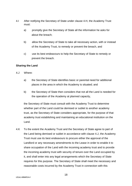- 4.I After notifying the Secretary of State under clause 4.H, the Academy Trust must:
	- a) promptly give the Secretary of State all the information he asks for about the breach;
	- b) allow the Secretary of State to take all necessary action, with or instead of the Academy Trust, to remedy or prevent the breach, and
	- c) use its best endeavours to help the Secretary of State to remedy or prevent the breach.

#### **Sharing the Land**

- 4.J Where:
	- a) the Secretary of State identifies basic or parental need for additional places in the area in which the Academy is situated; and
	- b) the Secretary of State then considers that not all the Land is needed for the operation of the Academy at planned capacity,

the Secretary of State must consult with the Academy Trust to determine whether part of the Land could be demised or sublet to another academy trust, as the Secretary of State considers appropriate, for the purpose of that academy trust establishing and maintaining an educational institution on the Land.

4.K To the extent the Academy Trust and the Secretary of State agree to part of the Land being demised or sublet in accordance with clause 4.J, the Academy Trust must use its best endeavours to procure either the approval of the Landlord or any necessary amendments to the Lease in order to enable it to share occupation of the Land with the incoming academy trust and to provide the incoming academy trust with security of tenure over the Land occupied by it, and shall enter into any legal arrangements which the Secretary of State requires for this purpose. The Secretary of State shall meet the necessary and reasonable costs incurred by the Academy Trust in connection with this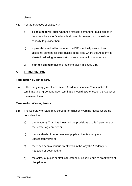clause.

- 4.L For the purposes of clause 4.J:
	- a) **a basic need** will arise when the forecast demand for pupil places in the area where the Academy is situated is greater than the existing capacity to provide them;
	- b) a **parental need** will arise when the DfE is actually aware of an additional demand for pupil places in the area where the Academy is situated, following representations from parents in that area; and
	- c) **planned capacity** has the meaning given in clause 2.B.

## <span id="page-18-0"></span>**5. TERMINATION**

#### <span id="page-18-1"></span>**Termination by either party**

5.A Either party may give at least seven Academy Financial Years' notice to terminate this Agreement. Such termination would take effect on 31 August of the relevant year.

#### <span id="page-18-2"></span>**Termination Warning Notice**

- 5.B The Secretary of State may serve a Termination Warning Notice where he considers that:
	- a) the Academy Trust has breached the provisions of this Agreement or the Master Agreement; or
	- b) the standards of performance of pupils at the Academy are unacceptably low; or
	- c) there has been a serious breakdown in the way the Academy is managed or governed; or
	- d) the safety of pupils or staff is threatened, including due to breakdown of discipline; or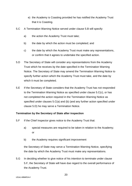- e) the Academy is Coasting provided he has notified the Academy Trust that it is Coasting.
- 5.C A Termination Warning Notice served under clause 5.B will specify:
	- a) the action the Academy Trust must take;
	- b) the date by which the action must be completed; and
	- c) the date by which the Academy Trust must make any representations, or confirm that it agrees to undertake the specified action.
- 5.D The Secretary of State will consider any representations from the Academy Trust which he receives by the date specified in the Termination Warning Notice. The Secretary of State may amend the Termination Warning Notice to specify further action which the Academy Trust must take, and the date by which it must be completed.
- 5.E If the Secretary of State considers that the Academy Trust has not responded to the Termination Warning Notice as specified under clause 5.C(c), or has not completed the action required in the Termination Warning Notice as specified under clauses 5.C(a) and (b) (and any further action specified under clause 5.D) he may serve a Termination Notice.

#### <span id="page-19-0"></span>**Termination by the Secretary of State after inspection**

- 5.F If the Chief Inspector gives notice to the Academy Trust that:
	- a) special measures are required to be taken in relation to the Academy; or
	- b) the Academy requires significant improvement

the Secretary of State may serve a Termination Warning Notice, specifying the date by which the Academy Trust must make any representations.

5.G In deciding whether to give notice of his intention to terminate under clause 5.F, the Secretary of State will have due regard to the overall performance of the Academy Trust.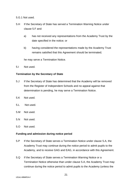5.G.1 Not used.

- 5.H If the Secretary of State has served a Termination Warning Notice under clause 5.F and:
	- a) has not received any representations from the Academy Trust by the date specified in the notice; or
	- b) having considered the representations made by the Academy Trust remains satisfied that this Agreement should be terminated;

he may serve a Termination Notice.

5.I Not used.

#### <span id="page-20-0"></span>**Termination by the Secretary of State**

- 5.J If the Secretary of State has determined that the Academy will be removed from the Register of Independent Schools and no appeal against that determination is pending, he may serve a Termination Notice.
- 5.K Not used.
- 5.L Not used.
- 5.M Not used.
- 5.N Not used.
- 5.O Not used.

#### <span id="page-20-1"></span>**Funding and admission during notice period**

- 5.P If the Secretary of State serves a Termination Notice under clause 5.A, the Academy Trust may continue during the notice period to admit pupils to the Academy, and to receive GAG and EAG, in accordance with this Agreement.
- 5.Q If the Secretary of State serves a Termination Warning Notice or a Termination Notice otherwise than under clause 5.A, the Academy Trust may continue during the notice period to admit pupils to the Academy (unless the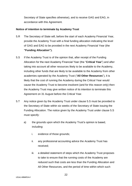Secretary of State specifies otherwise), and to receive GAG and EAG, in accordance with this Agreement.

#### <span id="page-21-0"></span>**Notice of intention to terminate by Academy Trust**

- 5.R The Secretary of State will, before the start of each Academy Financial Year, provide the Academy Trust with a final funding allocation indicating the level of GAG and EAG to be provided in the next Academy Financial Year (the **"Funding Allocation").**
- 5.S If the Academy Trust is of the opinion that, after receipt of the Funding Allocation for the next Academy Financial Year (the "**Critical Year**") and after taking into account all other resources likely to be available to the Academy, including other funds that are likely to be available to the Academy from other academies operated by the Academy Trust ("**All Other Resources**"), it is likely that the cost of running the Academy during the Critical Year would cause the Academy Trust to become insolvent (and for this reason only) then the Academy Trust may give written notice of its intention to terminate this Agreement on 31 August before the Critical Year.
- 5.T Any notice given by the Academy Trust under clause 5.S must be provided to the Secretary of State within six weeks of the Secretary of State issuing the Funding Allocation. The notice given by the Academy Trust under clause 5.S must specify:
	- a) the grounds upon which the Academy Trust's opinion is based, including:
		- i. evidence of those grounds;
		- ii. any professional accounting advice the Academy Trust has received;
		- iii. a detailed statement of steps which the Academy Trust proposes to take to ensure that the running costs of the Academy are reduced such that costs are less than the Funding Allocation and All Other Resources, and the period of time within which such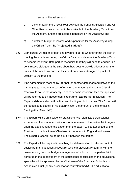steps will be taken; and

- b) the shortfall in the Critical Year between the Funding Allocation and All Other Resources expected to be available to the Academy Trust to run the Academy and the projected expenditure on the Academy; and
- c) a detailed budget of income and expenditure for the Academy during the Critical Year (the "**Projected Budget**").
- 5.U Both parties will use their best endeavours to agree whether or not the cost of running the Academy during the Critical Year would cause the Academy Trust to become insolvent. Both parties recognise that they will need to engage in a constructive dialogue at the time about how best to provide education for the pupils at the Academy and use their best endeavours to agree a practical solution to the problem.
- 5.V If no agreement is reached by 30 April (or another date if agreed between the parties) as to whether the cost of running the Academy during the Critical Year would cause the Academy Trust to become insolvent, then that question will be referred to an independent expert (the "**Expert**") for resolution. The Expert's determination will be final and binding on both parties. The Expert will be requested to specify in his determination the amount of the shortfall in funding (the "**Shortfall**").
- 5.W The Expert will be an insolvency practitioner with significant professional experience of educational institutions or academies. If the parties fail to agree upon the appointment of the Expert then the Expert will be appointed by the President of the Institute of Chartered Accountants in England and Wales. The Expert's fees will be borne equally between the parties.
- 5.X The Expert will be required in reaching his determination to take account of advice from an educational specialist who is professionally familiar with the issues arising from the budget management of schools. If the parties fail to agree upon the appointment of the educational specialist then the educational specialist will be appointed by the Chairman of the Specialist Schools and Academies Trust (or any successor or equivalent body). The educational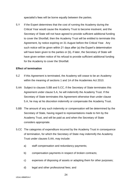specialist's fees will be borne equally between the parties.

5.Y If the Expert determines that the cost of running the Academy during the Critical Year would cause the Academy Trust to become insolvent, and the Secretary of State will not have agreed to provide sufficient additional funding to cover the Shortfall, then the Academy Trust will be entitled to terminate this Agreement, by notice expiring on 31 August before the Critical Year. Any such notice will be given within 21 days after (a) the Expert's determination will have been given to the parties or (b), if later, the Secretary of State will have given written notice of his refusal to provide sufficient additional funding for the Academy to cover the Shortfall.

#### <span id="page-23-0"></span>**Effect of termination**

- 5.Z If this Agreement is terminated, the Academy will cease to be an Academy within the meaning of sections 1 and 1A of the Academies Act 2010.
- 5.AA Subject to clauses 5.BB and 5.CC, if the Secretary of State terminates this Agreement under clause 5.A, he will indemnify the Academy Trust. If the Secretary of State terminates this Agreement otherwise than under clause 5.A, he may at his discretion indemnify or compensate the Academy Trust.
- 5.BB The amount of any such indemnity or compensation will be determined by the Secretary of State, having regard to representations made to him by the Academy Trust, and will be paid as and when the Secretary of State considers appropriate.
- 5.CC The categories of expenditure incurred by the Academy Trust in consequence of termination, for which the Secretary of State may indemnify the Academy Trust under clauses 5.AA, may include:
	- a) staff compensation and redundancy payments;
	- b) compensation payments in respect of broken contracts;
	- c) expenses of disposing of assets or adapting them for other purposes;
	- d) legal and other professional fees; and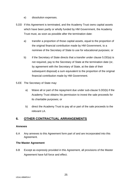- e) dissolution expenses.
- 5.DD If this Agreement is terminated, and the Academy Trust owns capital assets which have been partly or wholly funded by HM Government, the Academy Trust must, as soon as possible after the termination date:
	- a) transfer a proportion of those capital assets, equal to the proportion of the original financial contribution made by HM Government, to a nominee of the Secretary of State to use for educational purposes; or
	- b) if the Secretary of State directs that a transfer under clause 5.DD(a) is not required, pay to the Secretary of State at the termination date (or, by agreement with the Secretary of State, at the date of their subsequent disposal) a sum equivalent to the proportion of the original financial contribution made by HM Government.
- 5.EE The Secretary of State may:
	- a) Waive all or part of the repayment due under sub-clause 5.DD(b) if the Academy Trust obtains his permission to invest the sale proceeds for its charitable purposes; or
	- b) direct the Academy Trust to pay all or part of the sale proceeds to the relevant LA.

# <span id="page-24-0"></span>**6. OTHER CONTRACTUAL ARRANGEMENTS**

#### <span id="page-24-1"></span>**Annexes**

6.A Any annexes to this Agreement form part of and are incorporated into this Agreement.

#### <span id="page-24-2"></span>**The Master Agreement**

6.B Except as expressly provided in this Agreement, all provisions of the Master Agreement have full force and effect.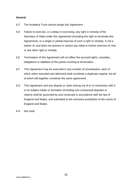#### <span id="page-25-0"></span>**General**

- 6.C The Academy Trust cannot assign this Agreement.
- 6.D Failure to exercise, or a delay in exercising, any right or remedy of the Secretary of State under this Agreement (including the right to terminate this Agreement), or a single or partial exercise of such a right or remedy, is not a waiver of, and does not prevent or restrict any initial or further exercise of, that or any other right or remedy.
- 6.E Termination of this Agreement will not affect the accrued rights, remedies, obligations or liabilities of the parties existing at termination.
- 6.F This Agreement may be executed in any number of counterparts, each of which when executed and delivered shall constitute a duplicate original, but all of which will together constitute the same agreement.
- 6.G This Agreement and any dispute or claim arising out of or in connection with it or its subject matter or formation (including non-contractual disputes or claims) shall be governed by and construed in accordance with the law of England and Wales, and submitted to the exclusive jurisdiction of the courts of England and Wales.
- 6.H Not used.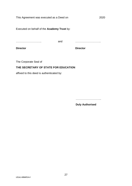This Agreement was executed as a Deed on 2020

Executed on behalf of the **Academy Trust** by:

………………………..

and ………………………..

**Director**

**Director**

The Corporate Seal of

## **THE SECRETARY OF STATE FOR EDUCATION**

affixed to this deed is authenticated by:

……………………………

**Duly Authorised**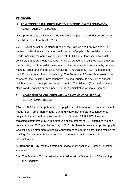# <span id="page-27-0"></span>**ANNEXES**

# <span id="page-27-1"></span>**7. ADMISSION OF CHILDREN AND YOUNG PEOPLE WITH EDUCATION, HEALTH AND CARE PLANS**

"**EHC plan**" means an Education, Health and Care plan made under section 37 of the Children and Families Act 2014.

7.A Except as set out in clause 8 below, the Children and Families Act 2014 imposes duties directly on Academies in respect of pupils with special educational needs, including the admission of pupils with EHC plans. If an Academy Trust considers that a LA should not have named the Academy in an EHC plan, it may ask the Secretary of State to determine whether the LA has acted unreasonably, and to make an order directing the LA to reconsider. The Academy Trust must admit the pupil if such a determination is pending. The Secretary of State's determination as to whether the LA acted unreasonably will be final, subject to any right of appeal which a parent of the pupil may have to the First Tier Tribunal (Special Educational Needs and Disability) or the Upper Tribunal Administrative Appeals Chamber.

# <span id="page-27-2"></span>**8. ADMISSION OF CHILDREN WITH A STATEMENT OF SPECIAL EDUCATIONAL NEEDS**

(Clauses 8.A-8.G only apply where the pupil has a statement of special educational needs (SEN) rather than an EHC plan and where they therefore continue to be subject to the relevant provisions of the Education Act 1996. EHC plans are replacing statements of SEN but although all statements of SEN should have been converted to an EHC plan by the 1 April 2018 this clause is retained to protect pupils who still have a statement of special education need after this date. The detail on the drafting of a statement below is retained to protect pupils in exceptional circumstances.)

"**Statement of SEN**" means a statement made under section 324 of the Education Act 1996.

8.A The Academy Trust must admit all children with a Statement of SEN naming the Academy.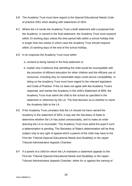- 8.B The Academy Trust must have regard to the Special Educational Needs Code of practice 2001 when dealing with statements of SEN.
- 8.C Where the LA sends the Academy Trust a draft statement with a proposal that the Academy is named in the final statement, the Academy Trust must respond within 15 working days unless the time period falls within a school holiday that is longer than two weeks in which case the Academy Trust should respond within 15 working days of the end of the school holiday.
- 8.D In its response the Academy Trust must either:
	- a. consent to being named in the final statement or
	- b. explain why it believes that admitting the child would be incompatible with the provision of efficient education for other children and the efficient use of resources, including why no reasonable steps could secure compatibility. In doing so the Academy Trust must have regard to the relevant legislation and Code of Practice. If the LA does not agree with the Academy Trust's response, and names the Academy in the child's Statement of SEN, the Academy Trust must admit the child to the school as specified in the statement or otherwise by the LA. The final decision as to whether to name the Academy falls to the LA.
- 8.E If the Academy Trust considers that the LA should not have named the Academy in the statement of SEN, it may ask the Secretary of State to determine whether the LA has acted unreasonably, and to make an order directing the LA to reconsider. The Academy Trust must admit the pupil if such a determination is pending. The Secretary of State's determination will be final, subject only to any right of appeal which a parent of the child may have to the First-tier Tribunal (Special Educational Needs and Disability) or the Upper Tribunal Administrative Appeals Chamber.
- 8.F If a parent of a child for whom the LA maintains a statement appeals to the First-tier Tribunal (Special Educational Needs and Disability) or the Upper Tribunal Administrative Appeals Chamber, either for or against the naming of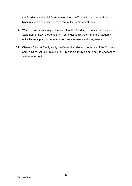the Academy in the child's statement, then the Tribunal's decision will be binding, even if it is different from that of the Secretary of State.

- 8.G Where it has been finally determined that the Academy be named in a child's Statement of SEN, the Academy Trust must admit the child to the Academy, notwithstanding any other admissions requirements in this Agreement.
- 8.H Clauses 8.A to 8.G only apply insofar as the relevant provisions of the Children and Families Act 2014 relating to SEN and disability do not apply to Academies and Free Schools.